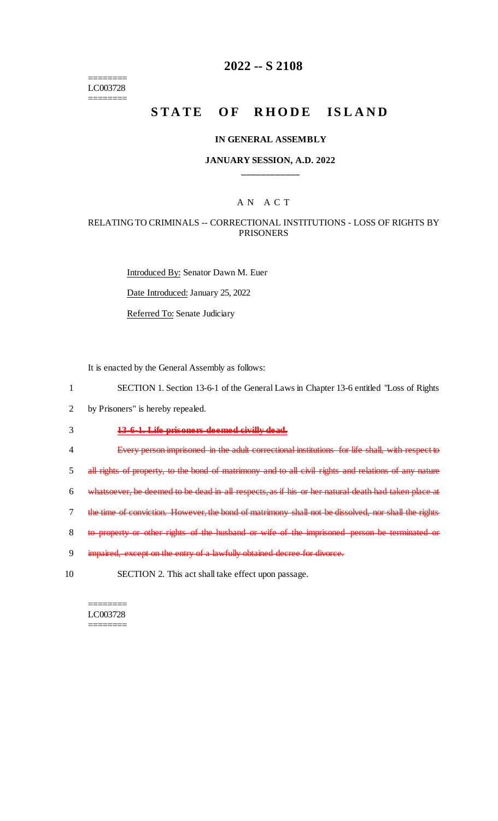======== LC003728 ========

### **2022 -- S 2108**

# **STATE OF RHODE ISLAND**

#### **IN GENERAL ASSEMBLY**

#### **JANUARY SESSION, A.D. 2022 \_\_\_\_\_\_\_\_\_\_\_\_**

#### A N A C T

#### RELATING TO CRIMINALS -- CORRECTIONAL INSTITUTIONS - LOSS OF RIGHTS BY PRISONERS

Introduced By: Senator Dawn M. Euer Date Introduced: January 25, 2022 Referred To: Senate Judiciary

It is enacted by the General Assembly as follows:

- 1 SECTION 1. Section 13-6-1 of the General Laws in Chapter 13-6 entitled "Loss of Rights
- 2 by Prisoners" is hereby repealed.
- 3 **13-6-1. Life prisoners deemed civilly dead.**
- 4 Every person imprisoned in the adult correctional institutions for life shall, with respect to
- 5 all rights of property, to the bond of matrimony and to all civil rights and relations of any nature
- 6 whatsoever, be deemed to be dead in all respects, as if his or her natural death had taken place at
- 7 the time of conviction. However, the bond of matrimony shall not be dissolved, nor shall the rights
- 8 to property or other rights of the husband or wife of the imprisoned person be terminated or
- 9 impaired, except on the entry of a lawfully obtained decree for divorce.
- 10 SECTION 2. This act shall take effect upon passage.

======== LC003728 ========